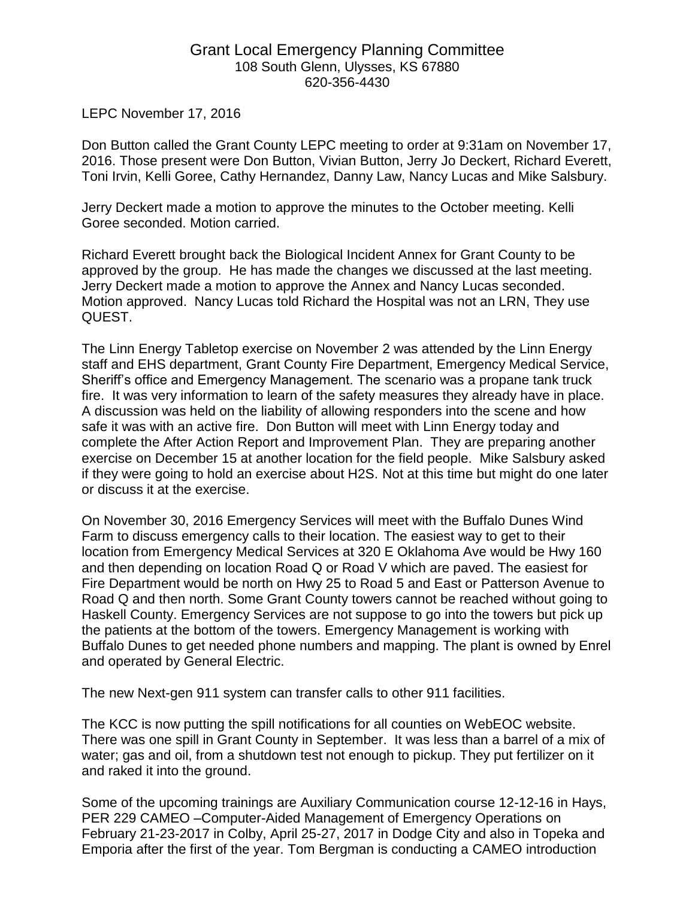## Grant Local Emergency Planning Committee 108 South Glenn, Ulysses, KS 67880 620-356-4430

LEPC November 17, 2016

Don Button called the Grant County LEPC meeting to order at 9:31am on November 17, 2016. Those present were Don Button, Vivian Button, Jerry Jo Deckert, Richard Everett, Toni Irvin, Kelli Goree, Cathy Hernandez, Danny Law, Nancy Lucas and Mike Salsbury.

Jerry Deckert made a motion to approve the minutes to the October meeting. Kelli Goree seconded. Motion carried.

Richard Everett brought back the Biological Incident Annex for Grant County to be approved by the group. He has made the changes we discussed at the last meeting. Jerry Deckert made a motion to approve the Annex and Nancy Lucas seconded. Motion approved. Nancy Lucas told Richard the Hospital was not an LRN, They use QUEST.

The Linn Energy Tabletop exercise on November 2 was attended by the Linn Energy staff and EHS department, Grant County Fire Department, Emergency Medical Service, Sheriff's office and Emergency Management. The scenario was a propane tank truck fire. It was very information to learn of the safety measures they already have in place. A discussion was held on the liability of allowing responders into the scene and how safe it was with an active fire. Don Button will meet with Linn Energy today and complete the After Action Report and Improvement Plan. They are preparing another exercise on December 15 at another location for the field people. Mike Salsbury asked if they were going to hold an exercise about H2S. Not at this time but might do one later or discuss it at the exercise.

On November 30, 2016 Emergency Services will meet with the Buffalo Dunes Wind Farm to discuss emergency calls to their location. The easiest way to get to their location from Emergency Medical Services at 320 E Oklahoma Ave would be Hwy 160 and then depending on location Road Q or Road V which are paved. The easiest for Fire Department would be north on Hwy 25 to Road 5 and East or Patterson Avenue to Road Q and then north. Some Grant County towers cannot be reached without going to Haskell County. Emergency Services are not suppose to go into the towers but pick up the patients at the bottom of the towers. Emergency Management is working with Buffalo Dunes to get needed phone numbers and mapping. The plant is owned by Enrel and operated by General Electric.

The new Next-gen 911 system can transfer calls to other 911 facilities.

The KCC is now putting the spill notifications for all counties on WebEOC website. There was one spill in Grant County in September. It was less than a barrel of a mix of water; gas and oil, from a shutdown test not enough to pickup. They put fertilizer on it and raked it into the ground.

Some of the upcoming trainings are Auxiliary Communication course 12-12-16 in Hays, PER 229 CAMEO –Computer-Aided Management of Emergency Operations on February 21-23-2017 in Colby, April 25-27, 2017 in Dodge City and also in Topeka and Emporia after the first of the year. Tom Bergman is conducting a CAMEO introduction